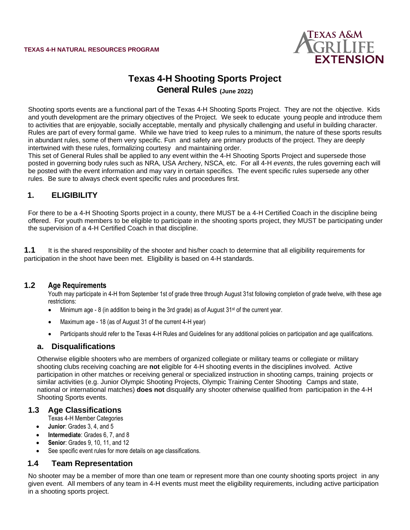

# **Texas 4-H Shooting Sports Project General Rules (June 2022)**

Shooting sports events are a functional part of the Texas 4-H Shooting Sports Project. They are not the objective. Kids and youth development are the primary objectives of the Project. We seek to educate young people and introduce them to activities that are enjoyable, socially acceptable, mentally and physically challenging and useful in building character. Rules are part of every formal game. While we have tried to keep rules to a minimum, the nature of these sports results in abundant rules, some of them very specific. Fun and safety are primary products of the project. They are deeply intertwined with these rules, formalizing courtesy and maintaining order.

This set of General Rules shall be applied to any event within the 4-H Shooting Sports Project and supersede those posted in governing body rules such as NRA, USA Archery, NSCA, etc. For all 4-H *events*, the rules governing each will be posted with the event information and may vary in certain specifics. The event specific rules supersede any other rules. Be sure to always check event specific rules and procedures first.

## **1. ELIGIBILITY**

For there to be a 4-H Shooting Sports project in a county, there MUST be a 4-H Certified Coach in the discipline being offered. For youth members to be eligible to participate in the shooting sports project, they MUST be participating under the supervision of a 4-H Certified Coach in that discipline.

**1.1** It is the shared responsibility of the shooter and his/her coach to determine that all eligibility requirements for participation in the shoot have been met. Eligibility is based on 4-H standards.

#### **1.2 Age Requirements**

Youth may participate in 4-H from September 1st of grade three through August 31st following completion of grade twelve, with these age restrictions:

- Minimum age 8 (in addition to being in the 3rd grade) as of August 31<sup>st</sup> of the current year.
- Maximum age 18 (as of August 31 of the current 4-H year)
- Participants should refer to the Texas 4-H Rules and Guidelines for any additional policies on participation and age qualifications.

#### **a. Disqualifications**

Otherwise eligible shooters who are members of organized collegiate or military teams or collegiate or military shooting clubs receiving coaching are **not** eligible for 4-H shooting events in the disciplines involved. Active participation in other matches or receiving general or specialized instruction in shooting camps, training projects or similar activities (e.g. Junior Olympic Shooting Projects, Olympic Training Center Shooting Camps and state, national or international matches) **does not** disqualify any shooter otherwise qualified from participation in the 4-H Shooting Sports events.

#### **1.3 Age Classifications**

- Texas 4-H Member Categories
- **Junior**: Grades 3, 4, and 5
- **Intermediate**: Grades 6, 7, and 8
- **Senior**: Grades 9, 10, 11, and 12
- See specific event rules for more details on age classifications.

#### **1.4 Team Representation**

No shooter may be a member of more than one team or represent more than one county shooting sports project in any given event. All members of any team in 4-H events must meet the eligibility requirements, including active participation in a shooting sports project.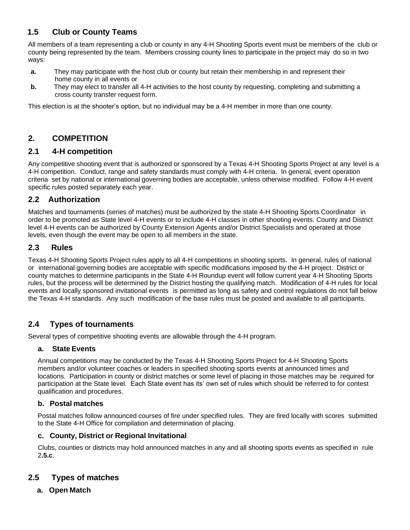## **1.5 Club or County Teams**

All members of a team representing a club or county in any 4-H Shooting Sports event must be members of the club or county being represented by the team. Members crossing county lines to participate in the project may do so in two ways:

- **a.** They may participate with the host club or county but retain their membership in and represent their home county in all events or
- **b.** They may elect to transfer all 4-H activities to the host county by requesting, completing and submitting a cross county transfer request form.

This election is at the shooter's option, but no individual may be a 4-H member in more than one county.

## **2. COMPETITION**

### **2.1 4-H competition**

Any competitive shooting event that is authorized or sponsored by a Texas 4-H Shooting Sports Project at any level is a 4-H competition. Conduct, range and safety standards must comply with 4-H criteria. In general, event operation criteria set by national or international governing bodies are acceptable, unless otherwise modified. Follow 4-H event specific rules posted separately each year.

## **2.2 Authorization**

Matches and tournaments (series of matches) must be authorized by the state 4-H Shooting Sports Coordinator in order to be promoted as State level 4-H events or to include 4-H classes in other shooting events. County and District level 4-H events can be authorized by County Extension Agents and/or District Specialists and operated at those levels, even though the event may be open to all members in the state.

### **2.3 Rules**

Texas 4-H Shooting Sports Project rules apply to all 4-H competitions in shooting sports. In general, rules of national or international governing bodies are acceptable with specific modifications imposed by the 4-H project. District or county matches to determine participants in the State 4-H Roundup event will follow current year 4-H Shooting Sports rules, but the process will be determined by the District hosting the qualifying match. Modification of 4-H rules for local events and locally sponsored invitational events is permitted as long as safety and control regulations do not fall below the Texas 4-H standards. Any such modification of the base rules must be posted and available to all participants.

## **2.4 Types of tournaments**

Several types of competitive shooting events are allowable through the 4-H program.

#### **a. State Events**

Annual competitions may be conducted by the Texas 4-H Shooting Sports Project for 4-H Shooting Sports members and/or volunteer coaches or leaders in specified shooting sports events at announced times and locations. Participation in county or district matches or some level of placing in those matches may be required for participation at the State level. Each State event has its' own set of rules which should be referred to for contest qualification and procedures.

#### **b. Postal matches**

Postal matches follow announced courses of fire under specified rules. They are fired locally with scores submitted to the State 4-H Office for compilation and determination of placing.

#### **c. County, District or Regional Invitational**

Clubs, counties or districts may hold announced matches in any and all shooting sports events as specified in rule 2**.5.c**.

## **2.5 Types of matches**

**a. Open Match**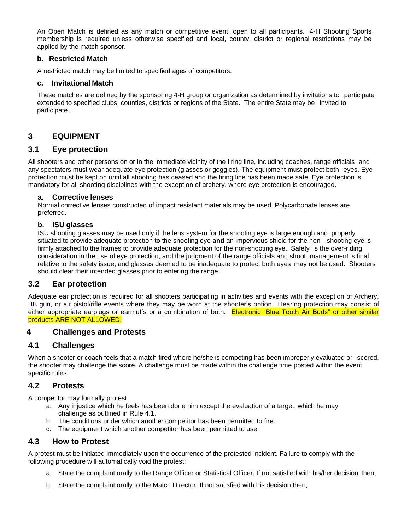An Open Match is defined as any match or competitive event, open to all participants. 4-H Shooting Sports membership is required unless otherwise specified and local, county, district or regional restrictions may be applied by the match sponsor.

#### **b. Restricted Match**

A restricted match may be limited to specified ages of competitors.

#### **c. Invitational Match**

These matches are defined by the sponsoring 4-H group or organization as determined by invitations to participate extended to specified clubs, counties, districts or regions of the State. The entire State may be invited to participate.

## **3 EQUIPMENT**

#### **3.1 Eye protection**

All shooters and other persons on or in the immediate vicinity of the firing line, including coaches, range officials and any spectators must wear adequate eye protection (glasses or goggles). The equipment must protect both eyes. Eye protection must be kept on until all shooting has ceased and the firing line has been made safe. Eye protection is mandatory for all shooting disciplines with the exception of archery, where eye protection is encouraged.

#### **a. Corrective lenses**

Normal corrective lenses constructed of impact resistant materials may be used. Polycarbonate lenses are preferred.

#### **b. ISU glasses**

ISU shooting glasses may be used only if the lens system for the shooting eye is large enough and properly situated to provide adequate protection to the shooting eye **and** an impervious shield for the non- shooting eye is firmly attached to the frames to provide adequate protection for the non-shooting eye. Safety is the over-riding consideration in the use of eye protection, and the judgment of the range officials and shoot management is final relative to the safety issue, and glasses deemed to be inadequate to protect both eyes may not be used. Shooters should clear their intended glasses prior to entering the range.

#### **3.2 Ear protection**

Adequate ear protection is required for all shooters participating in activities and events with the exception of Archery, BB gun, or air pistol/rifle events where they may be worn at the shooter's option. Hearing protection may consist of either appropriate earplugs or earmuffs or a combination of both. Electronic "Blue Tooth Air Buds" or other similar products ARE NOT ALLOWED.

#### **4 Challenges and Protests**

#### **4.1 Challenges**

When a shooter or coach feels that a match fired where he/she is competing has been improperly evaluated or scored, the shooter may challenge the score. A challenge must be made within the challenge time posted within the event specific rules.

#### **4.2 Protests**

A competitor may formally protest:

- a. Any injustice which he feels has been done him except the evaluation of a target, which he may challenge as outlined in Rule 4.1.
- b. The conditions under which another competitor has been permitted to fire.
- c. The equipment which another competitor has been permitted to use.

#### **4.3 How to Protest**

A protest must be initiated immediately upon the occurrence of the protested incident. Failure to comply with the following procedure will automatically void the protest:

- a. State the complaint orally to the Range Officer or Statistical Officer. If not satisfied with his/her decision then,
- b. State the complaint orally to the Match Director. If not satisfied with his decision then,